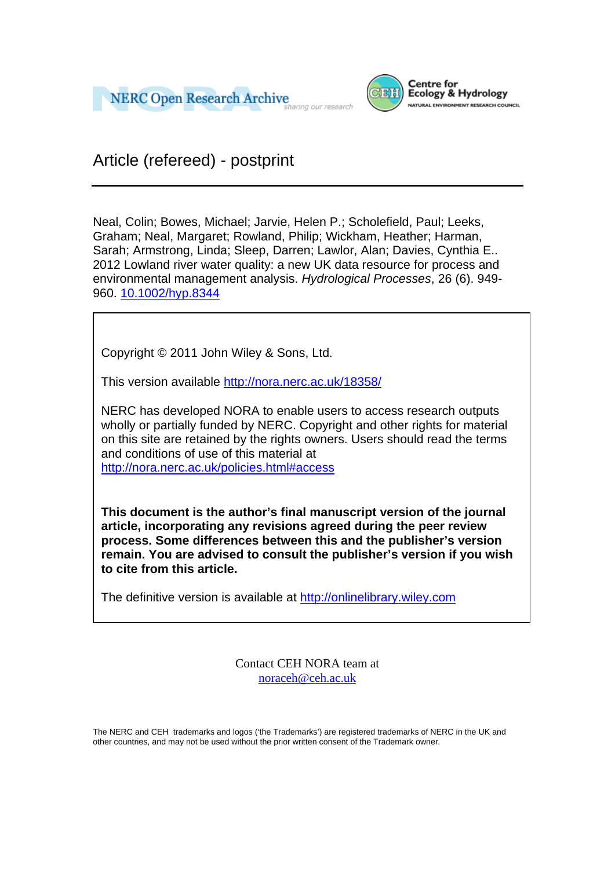



# Article (refereed) - postprint

Neal, Colin; Bowes, Michael; Jarvie, Helen P.; Scholefield, Paul; Leeks, Graham; Neal, Margaret; Rowland, Philip; Wickham, Heather; Harman, Sarah; Armstrong, Linda; Sleep, Darren; Lawlor, Alan; Davies, Cynthia E.. 2012 Lowland river water quality: a new UK data resource for process and environmental management analysis. *Hydrological Processes*, 26 (6). 949- 960. 10.1002/hyp.8344

Copyright © 2011 John Wiley & Sons, Ltd.

This version available http://nora.nerc.ac.uk/18358/

NERC has developed NORA to enable users to access research outputs wholly or partially funded by NERC. Copyright and other rights for material on this site are retained by the rights owners. Users should read the terms and conditions of use of this material at http://nora.nerc.ac.uk/policies.html#access

**This document is the author's final manuscript version of the journal article, incorporating any revisions agreed during the peer review process. Some differences between this and the publisher's version remain. You are advised to consult the publisher's version if you wish to cite from this article.** 

The definitive version is available at http://onlinelibrary.wiley.com

Contact CEH NORA team at noraceh@ceh.ac.uk

The NERC and CEH trademarks and logos ('the Trademarks') are registered trademarks of NERC in the UK and other countries, and may not be used without the prior written consent of the Trademark owner*.*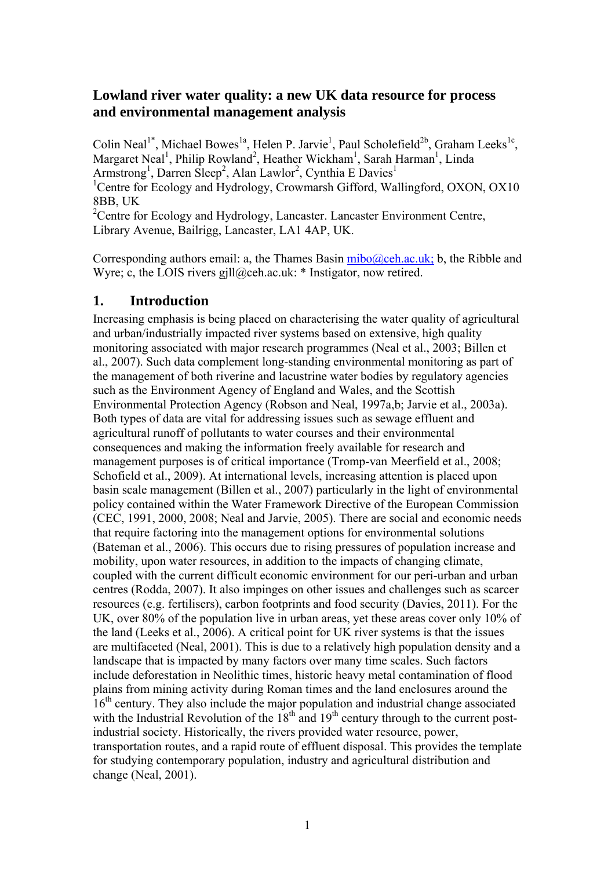# **Lowland river water quality: a new UK data resource for process and environmental management analysis**

Colin Neal<sup>1\*</sup>, Michael Bowes<sup>1a</sup>, Helen P. Jarvie<sup>1</sup>, Paul Scholefield<sup>2b</sup>, Graham Leeks<sup>1c</sup>, Margaret Neal<sup>1</sup>, Philip Rowland<sup>2</sup>, Heather Wickham<sup>1</sup>, Sarah Harman<sup>1</sup>, Linda Armstrong<sup>1</sup>, Darren Sleep<sup>2</sup>, Alan Lawlor<sup>2</sup>, Cynthia E Davies<sup>1</sup> <sup>1</sup>Centre for Ecology and Hydrology, Crowmarsh Gifford, Wallingford, OXON, OX10 8BB, UK <sup>2</sup>Centre for Ecology and Hydrology, Lancaster. Lancaster Environment Centre, Library Avenue, Bailrigg, Lancaster, LA1 4AP, UK.

Corresponding authors email: a, the Thames Basin  $mibo@ceh.ac.uk$ ; b, the Ribble and Wyre; c, the LOIS rivers gjll@ceh.ac.uk: \* Instigator, now retired.

# **1. Introduction**

Increasing emphasis is being placed on characterising the water quality of agricultural and urban/industrially impacted river systems based on extensive, high quality monitoring associated with major research programmes (Neal et al., 2003; Billen et al., 2007). Such data complement long-standing environmental monitoring as part of the management of both riverine and lacustrine water bodies by regulatory agencies such as the Environment Agency of England and Wales, and the Scottish Environmental Protection Agency (Robson and Neal, 1997a,b; Jarvie et al., 2003a). Both types of data are vital for addressing issues such as sewage effluent and agricultural runoff of pollutants to water courses and their environmental consequences and making the information freely available for research and management purposes is of critical importance (Tromp-van Meerfield et al., 2008; Schofield et al., 2009). At international levels, increasing attention is placed upon basin scale management (Billen et al., 2007) particularly in the light of environmental policy contained within the Water Framework Directive of the European Commission (CEC, 1991, 2000, 2008; Neal and Jarvie, 2005). There are social and economic needs that require factoring into the management options for environmental solutions (Bateman et al., 2006). This occurs due to rising pressures of population increase and mobility, upon water resources, in addition to the impacts of changing climate, coupled with the current difficult economic environment for our peri-urban and urban centres (Rodda, 2007). It also impinges on other issues and challenges such as scarcer resources (e.g. fertilisers), carbon footprints and food security (Davies, 2011). For the UK, over 80% of the population live in urban areas, yet these areas cover only 10% of the land (Leeks et al., 2006). A critical point for UK river systems is that the issues are multifaceted (Neal, 2001). This is due to a relatively high population density and a landscape that is impacted by many factors over many time scales. Such factors include deforestation in Neolithic times, historic heavy metal contamination of flood plains from mining activity during Roman times and the land enclosures around the 16<sup>th</sup> century. They also include the major population and industrial change associated with the Industrial Revolution of the  $18<sup>th</sup>$  and  $19<sup>th</sup>$  century through to the current postindustrial society. Historically, the rivers provided water resource, power, transportation routes, and a rapid route of effluent disposal. This provides the template for studying contemporary population, industry and agricultural distribution and change (Neal, 2001).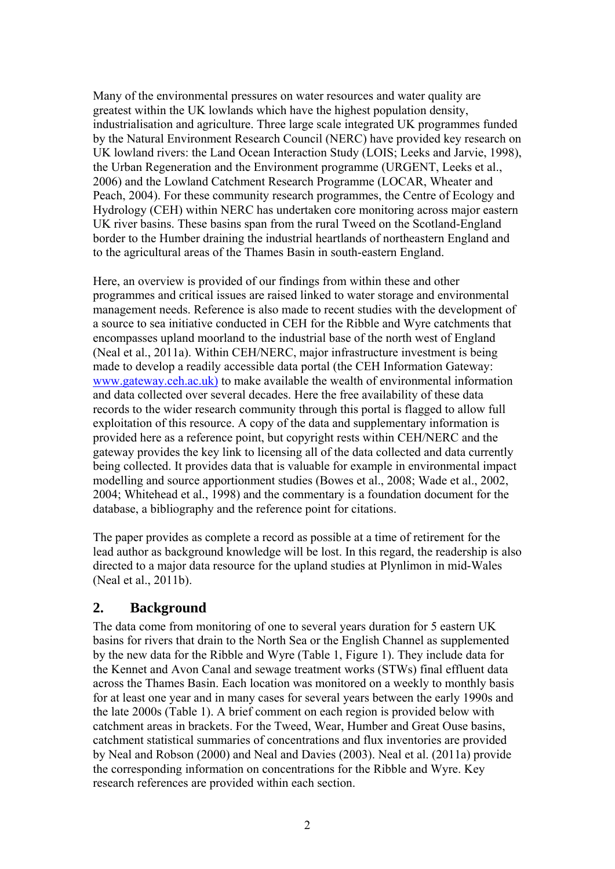Many of the environmental pressures on water resources and water quality are greatest within the UK lowlands which have the highest population density, industrialisation and agriculture. Three large scale integrated UK programmes funded by the Natural Environment Research Council (NERC) have provided key research on UK lowland rivers: the Land Ocean Interaction Study (LOIS; Leeks and Jarvie, 1998), the Urban Regeneration and the Environment programme (URGENT, Leeks et al., 2006) and the Lowland Catchment Research Programme (LOCAR, Wheater and Peach, 2004). For these community research programmes, the Centre of Ecology and Hydrology (CEH) within NERC has undertaken core monitoring across major eastern UK river basins. These basins span from the rural Tweed on the Scotland-England border to the Humber draining the industrial heartlands of northeastern England and to the agricultural areas of the Thames Basin in south-eastern England.

Here, an overview is provided of our findings from within these and other programmes and critical issues are raised linked to water storage and environmental management needs. Reference is also made to recent studies with the development of a source to sea initiative conducted in CEH for the Ribble and Wyre catchments that encompasses upland moorland to the industrial base of the north west of England (Neal et al., 2011a). Within CEH/NERC, major infrastructure investment is being made to develop a readily accessible data portal (the CEH Information Gateway: www.gateway.ceh.ac.uk) to make available the wealth of environmental information and data collected over several decades. Here the free availability of these data records to the wider research community through this portal is flagged to allow full exploitation of this resource. A copy of the data and supplementary information is provided here as a reference point, but copyright rests within CEH/NERC and the gateway provides the key link to licensing all of the data collected and data currently being collected. It provides data that is valuable for example in environmental impact modelling and source apportionment studies (Bowes et al., 2008; Wade et al., 2002, 2004; Whitehead et al., 1998) and the commentary is a foundation document for the database, a bibliography and the reference point for citations.

The paper provides as complete a record as possible at a time of retirement for the lead author as background knowledge will be lost. In this regard, the readership is also directed to a major data resource for the upland studies at Plynlimon in mid-Wales (Neal et al., 2011b).

### **2. Background**

The data come from monitoring of one to several years duration for 5 eastern UK basins for rivers that drain to the North Sea or the English Channel as supplemented by the new data for the Ribble and Wyre (Table 1, Figure 1). They include data for the Kennet and Avon Canal and sewage treatment works (STWs) final effluent data across the Thames Basin. Each location was monitored on a weekly to monthly basis for at least one year and in many cases for several years between the early 1990s and the late 2000s (Table 1). A brief comment on each region is provided below with catchment areas in brackets. For the Tweed, Wear, Humber and Great Ouse basins, catchment statistical summaries of concentrations and flux inventories are provided by Neal and Robson (2000) and Neal and Davies (2003). Neal et al. (2011a) provide the corresponding information on concentrations for the Ribble and Wyre. Key research references are provided within each section.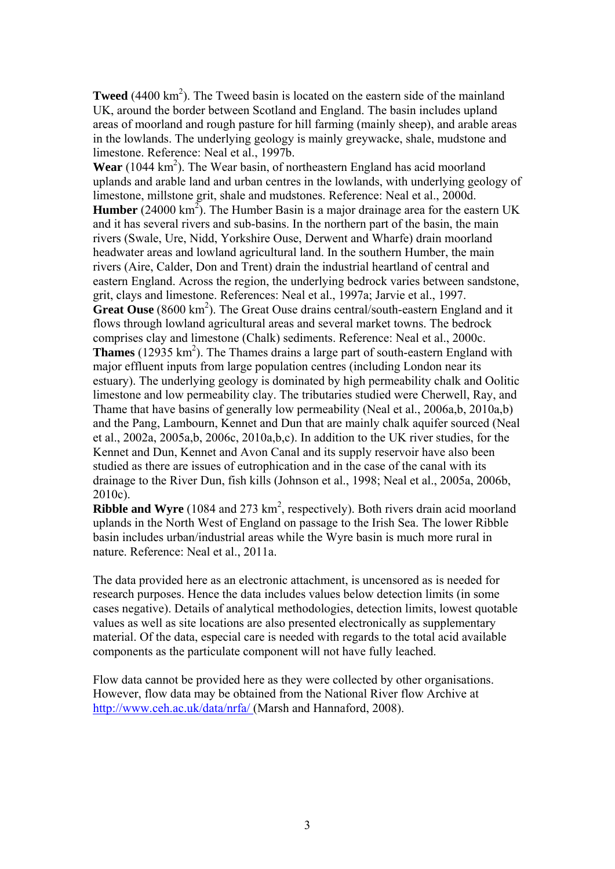**Tweed** (4400 km<sup>2</sup>). The Tweed basin is located on the eastern side of the mainland UK, around the border between Scotland and England. The basin includes upland areas of moorland and rough pasture for hill farming (mainly sheep), and arable areas in the lowlands. The underlying geology is mainly greywacke, shale, mudstone and limestone. Reference: Neal et al., 1997b.

Wear (1044 km<sup>2</sup>). The Wear basin, of northeastern England has acid moorland uplands and arable land and urban centres in the lowlands, with underlying geology of limestone, millstone grit, shale and mudstones. Reference: Neal et al., 2000d. **Humber** (24000 km<sup>2</sup>). The Humber Basin is a major drainage area for the eastern UK and it has several rivers and sub-basins. In the northern part of the basin, the main rivers (Swale, Ure, Nidd, Yorkshire Ouse, Derwent and Wharfe) drain moorland headwater areas and lowland agricultural land. In the southern Humber, the main rivers (Aire, Calder, Don and Trent) drain the industrial heartland of central and eastern England. Across the region, the underlying bedrock varies between sandstone, grit, clays and limestone. References: Neal et al., 1997a; Jarvie et al., 1997. Great Ouse (8600 km<sup>2</sup>). The Great Ouse drains central/south-eastern England and it flows through lowland agricultural areas and several market towns. The bedrock comprises clay and limestone (Chalk) sediments. Reference: Neal et al., 2000c. Thames (12935 km<sup>2</sup>). The Thames drains a large part of south-eastern England with major effluent inputs from large population centres (including London near its estuary). The underlying geology is dominated by high permeability chalk and Oolitic limestone and low permeability clay. The tributaries studied were Cherwell, Ray, and Thame that have basins of generally low permeability (Neal et al., 2006a,b, 2010a,b) and the Pang, Lambourn, Kennet and Dun that are mainly chalk aquifer sourced (Neal et al., 2002a, 2005a,b, 2006c, 2010a,b,c). In addition to the UK river studies, for the Kennet and Dun, Kennet and Avon Canal and its supply reservoir have also been studied as there are issues of eutrophication and in the case of the canal with its drainage to the River Dun, fish kills (Johnson et al., 1998; Neal et al., 2005a, 2006b, 2010c).

**Ribble and Wyre** (1084 and 273 km<sup>2</sup>, respectively). Both rivers drain acid moorland uplands in the North West of England on passage to the Irish Sea. The lower Ribble basin includes urban/industrial areas while the Wyre basin is much more rural in nature. Reference: Neal et al., 2011a.

The data provided here as an electronic attachment, is uncensored as is needed for research purposes. Hence the data includes values below detection limits (in some cases negative). Details of analytical methodologies, detection limits, lowest quotable values as well as site locations are also presented electronically as supplementary material. Of the data, especial care is needed with regards to the total acid available components as the particulate component will not have fully leached.

Flow data cannot be provided here as they were collected by other organisations. However, flow data may be obtained from the National River flow Archive at http://www.ceh.ac.uk/data/nrfa/ (Marsh and Hannaford, 2008).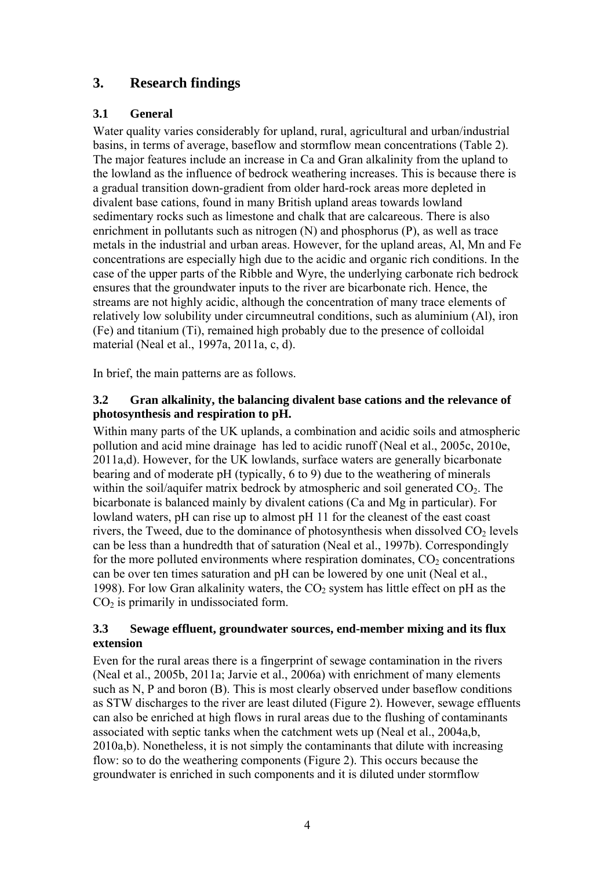# **3. Research findings**

## **3.1 General**

Water quality varies considerably for upland, rural, agricultural and urban/industrial basins, in terms of average, baseflow and stormflow mean concentrations (Table 2). The major features include an increase in Ca and Gran alkalinity from the upland to the lowland as the influence of bedrock weathering increases. This is because there is a gradual transition down-gradient from older hard-rock areas more depleted in divalent base cations, found in many British upland areas towards lowland sedimentary rocks such as limestone and chalk that are calcareous. There is also enrichment in pollutants such as nitrogen (N) and phosphorus (P), as well as trace metals in the industrial and urban areas. However, for the upland areas, Al, Mn and Fe concentrations are especially high due to the acidic and organic rich conditions. In the case of the upper parts of the Ribble and Wyre, the underlying carbonate rich bedrock ensures that the groundwater inputs to the river are bicarbonate rich. Hence, the streams are not highly acidic, although the concentration of many trace elements of relatively low solubility under circumneutral conditions, such as aluminium (Al), iron (Fe) and titanium (Ti), remained high probably due to the presence of colloidal material (Neal et al., 1997a, 2011a, c, d).

In brief, the main patterns are as follows.

#### **3.2 Gran alkalinity, the balancing divalent base cations and the relevance of photosynthesis and respiration to pH.**

Within many parts of the UK uplands, a combination and acidic soils and atmospheric pollution and acid mine drainage has led to acidic runoff (Neal et al., 2005c, 2010e, 2011a,d). However, for the UK lowlands, surface waters are generally bicarbonate bearing and of moderate pH (typically, 6 to 9) due to the weathering of minerals within the soil/aquifer matrix bedrock by atmospheric and soil generated  $CO<sub>2</sub>$ . The bicarbonate is balanced mainly by divalent cations (Ca and Mg in particular). For lowland waters, pH can rise up to almost pH 11 for the cleanest of the east coast rivers, the Tweed, due to the dominance of photosynthesis when dissolved  $CO<sub>2</sub>$  levels can be less than a hundredth that of saturation (Neal et al., 1997b). Correspondingly for the more polluted environments where respiration dominates,  $CO<sub>2</sub>$  concentrations can be over ten times saturation and pH can be lowered by one unit (Neal et al., 1998). For low Gran alkalinity waters, the  $CO<sub>2</sub>$  system has little effect on pH as the  $CO<sub>2</sub>$  is primarily in undissociated form.

### **3.3 Sewage effluent, groundwater sources, end-member mixing and its flux extension**

Even for the rural areas there is a fingerprint of sewage contamination in the rivers (Neal et al., 2005b, 2011a; Jarvie et al., 2006a) with enrichment of many elements such as N, P and boron (B). This is most clearly observed under baseflow conditions as STW discharges to the river are least diluted (Figure 2). However, sewage effluents can also be enriched at high flows in rural areas due to the flushing of contaminants associated with septic tanks when the catchment wets up (Neal et al., 2004a,b, 2010a,b). Nonetheless, it is not simply the contaminants that dilute with increasing flow: so to do the weathering components (Figure 2). This occurs because the groundwater is enriched in such components and it is diluted under stormflow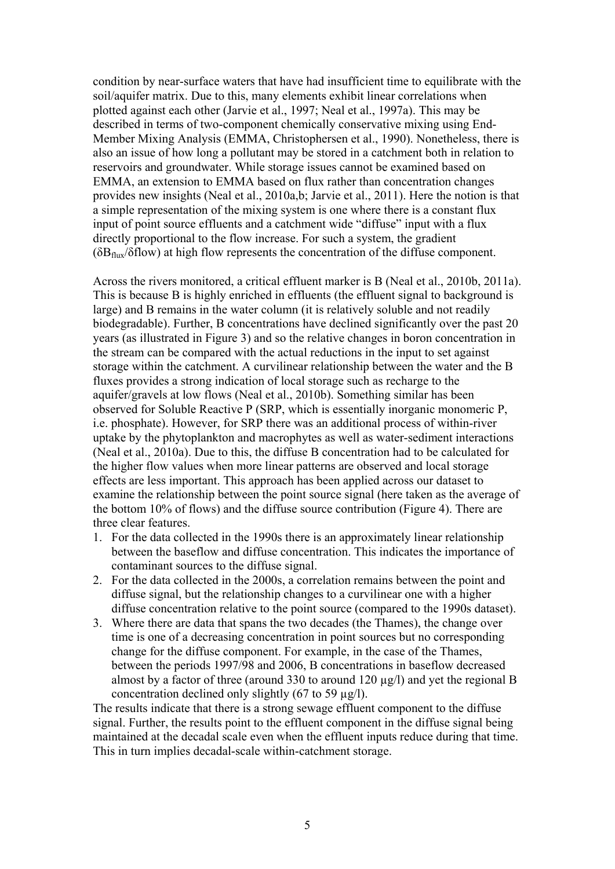condition by near-surface waters that have had insufficient time to equilibrate with the soil/aquifer matrix. Due to this, many elements exhibit linear correlations when plotted against each other (Jarvie et al., 1997; Neal et al., 1997a). This may be described in terms of two-component chemically conservative mixing using End-Member Mixing Analysis (EMMA, Christophersen et al., 1990). Nonetheless, there is also an issue of how long a pollutant may be stored in a catchment both in relation to reservoirs and groundwater. While storage issues cannot be examined based on EMMA, an extension to EMMA based on flux rather than concentration changes provides new insights (Neal et al., 2010a,b; Jarvie et al., 2011). Here the notion is that a simple representation of the mixing system is one where there is a constant flux input of point source effluents and a catchment wide "diffuse" input with a flux directly proportional to the flow increase. For such a system, the gradient  $(\delta B_{\text{flux}}/\delta$ flow) at high flow represents the concentration of the diffuse component.

Across the rivers monitored, a critical effluent marker is B (Neal et al., 2010b, 2011a). This is because B is highly enriched in effluents (the effluent signal to background is large) and B remains in the water column (it is relatively soluble and not readily biodegradable). Further, B concentrations have declined significantly over the past 20 years (as illustrated in Figure 3) and so the relative changes in boron concentration in the stream can be compared with the actual reductions in the input to set against storage within the catchment. A curvilinear relationship between the water and the B fluxes provides a strong indication of local storage such as recharge to the aquifer/gravels at low flows (Neal et al., 2010b). Something similar has been observed for Soluble Reactive P (SRP, which is essentially inorganic monomeric P, i.e. phosphate). However, for SRP there was an additional process of within-river uptake by the phytoplankton and macrophytes as well as water-sediment interactions (Neal et al., 2010a). Due to this, the diffuse B concentration had to be calculated for the higher flow values when more linear patterns are observed and local storage effects are less important. This approach has been applied across our dataset to examine the relationship between the point source signal (here taken as the average of the bottom 10% of flows) and the diffuse source contribution (Figure 4). There are three clear features.

- 1. For the data collected in the 1990s there is an approximately linear relationship between the baseflow and diffuse concentration. This indicates the importance of contaminant sources to the diffuse signal.
- 2. For the data collected in the 2000s, a correlation remains between the point and diffuse signal, but the relationship changes to a curvilinear one with a higher diffuse concentration relative to the point source (compared to the 1990s dataset).
- 3. Where there are data that spans the two decades (the Thames), the change over time is one of a decreasing concentration in point sources but no corresponding change for the diffuse component. For example, in the case of the Thames, between the periods 1997/98 and 2006, B concentrations in baseflow decreased almost by a factor of three (around 330 to around 120 µg/l) and yet the regional B concentration declined only slightly (67 to 59 µg/l).

The results indicate that there is a strong sewage effluent component to the diffuse signal. Further, the results point to the effluent component in the diffuse signal being maintained at the decadal scale even when the effluent inputs reduce during that time. This in turn implies decadal-scale within-catchment storage.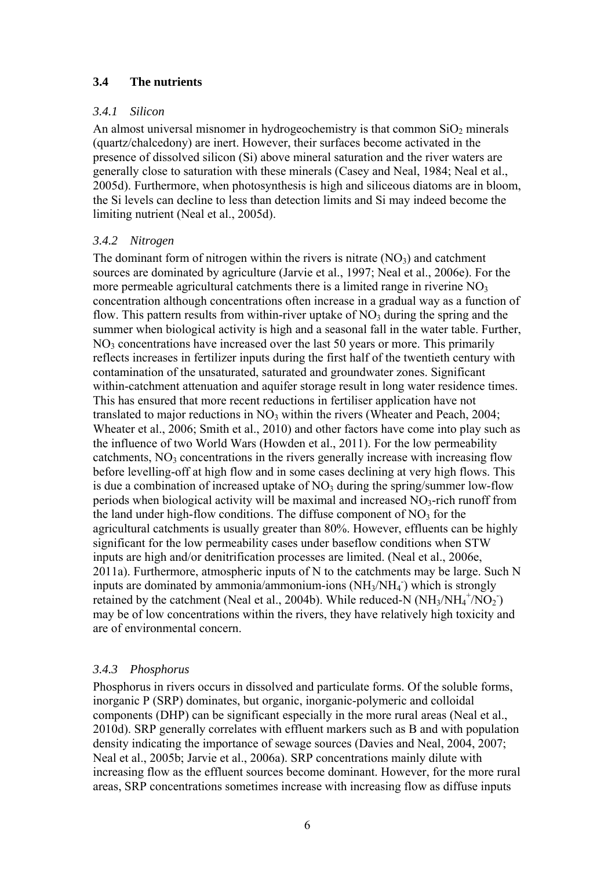### **3.4 The nutrients**

#### *3.4.1 Silicon*

An almost universal misnomer in hydrogeochemistry is that common  $SiO<sub>2</sub>$  minerals (quartz/chalcedony) are inert. However, their surfaces become activated in the presence of dissolved silicon (Si) above mineral saturation and the river waters are generally close to saturation with these minerals (Casey and Neal, 1984; Neal et al., 2005d). Furthermore, when photosynthesis is high and siliceous diatoms are in bloom, the Si levels can decline to less than detection limits and Si may indeed become the limiting nutrient (Neal et al., 2005d).

### *3.4.2 Nitrogen*

The dominant form of nitrogen within the rivers is nitrate  $(NO_3)$  and catchment sources are dominated by agriculture (Jarvie et al., 1997; Neal et al., 2006e). For the more permeable agricultural catchments there is a limited range in riverine  $NO<sub>3</sub>$ concentration although concentrations often increase in a gradual way as a function of flow. This pattern results from within-river uptake of  $NO<sub>3</sub>$  during the spring and the summer when biological activity is high and a seasonal fall in the water table. Further,  $NO<sub>3</sub>$  concentrations have increased over the last 50 years or more. This primarily reflects increases in fertilizer inputs during the first half of the twentieth century with contamination of the unsaturated, saturated and groundwater zones. Significant within-catchment attenuation and aquifer storage result in long water residence times. This has ensured that more recent reductions in fertiliser application have not translated to major reductions in  $NO<sub>3</sub>$  within the rivers (Wheater and Peach, 2004; Wheater et al., 2006; Smith et al., 2010) and other factors have come into play such as the influence of two World Wars (Howden et al., 2011). For the low permeability catchments,  $NO<sub>3</sub>$  concentrations in the rivers generally increase with increasing flow before levelling-off at high flow and in some cases declining at very high flows. This is due a combination of increased uptake of  $NO<sub>3</sub>$  during the spring/summer low-flow periods when biological activity will be maximal and increased  $NO<sub>3</sub>$ -rich runoff from the land under high-flow conditions. The diffuse component of  $NO<sub>3</sub>$  for the agricultural catchments is usually greater than 80%. However, effluents can be highly significant for the low permeability cases under baseflow conditions when STW inputs are high and/or denitrification processes are limited. (Neal et al., 2006e, 2011a). Furthermore, atmospheric inputs of N to the catchments may be large. Such N inputs are dominated by ammonia/ammonium-ions (NH<sub>3</sub>/NH<sub>4</sub>) which is strongly retained by the catchment (Neal et al., 2004b). While reduced-N ( $NH_3/NH_4^+/NO_2^-$ ) may be of low concentrations within the rivers, they have relatively high toxicity and are of environmental concern.

### *3.4.3 Phosphorus*

Phosphorus in rivers occurs in dissolved and particulate forms. Of the soluble forms, inorganic P (SRP) dominates, but organic, inorganic-polymeric and colloidal components (DHP) can be significant especially in the more rural areas (Neal et al., 2010d). SRP generally correlates with effluent markers such as B and with population density indicating the importance of sewage sources (Davies and Neal, 2004, 2007; Neal et al., 2005b; Jarvie et al., 2006a). SRP concentrations mainly dilute with increasing flow as the effluent sources become dominant. However, for the more rural areas, SRP concentrations sometimes increase with increasing flow as diffuse inputs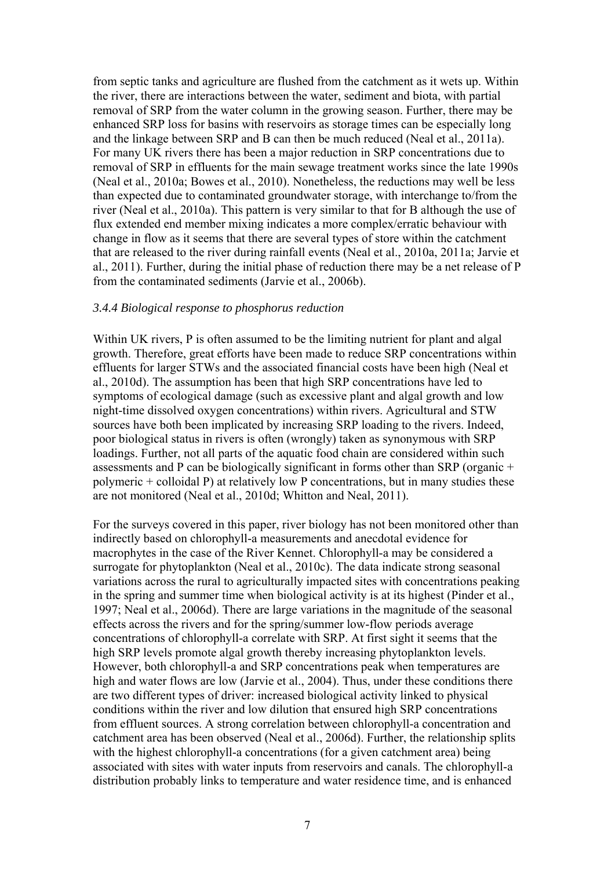from septic tanks and agriculture are flushed from the catchment as it wets up. Within the river, there are interactions between the water, sediment and biota, with partial removal of SRP from the water column in the growing season. Further, there may be enhanced SRP loss for basins with reservoirs as storage times can be especially long and the linkage between SRP and B can then be much reduced (Neal et al., 2011a). For many UK rivers there has been a major reduction in SRP concentrations due to removal of SRP in effluents for the main sewage treatment works since the late 1990s (Neal et al., 2010a; Bowes et al., 2010). Nonetheless, the reductions may well be less than expected due to contaminated groundwater storage, with interchange to/from the river (Neal et al., 2010a). This pattern is very similar to that for B although the use of flux extended end member mixing indicates a more complex/erratic behaviour with change in flow as it seems that there are several types of store within the catchment that are released to the river during rainfall events (Neal et al., 2010a, 2011a; Jarvie et al., 2011). Further, during the initial phase of reduction there may be a net release of P from the contaminated sediments (Jarvie et al., 2006b).

#### *3.4.4 Biological response to phosphorus reduction*

Within UK rivers, P is often assumed to be the limiting nutrient for plant and algal growth. Therefore, great efforts have been made to reduce SRP concentrations within effluents for larger STWs and the associated financial costs have been high (Neal et al., 2010d). The assumption has been that high SRP concentrations have led to symptoms of ecological damage (such as excessive plant and algal growth and low night-time dissolved oxygen concentrations) within rivers. Agricultural and STW sources have both been implicated by increasing SRP loading to the rivers. Indeed, poor biological status in rivers is often (wrongly) taken as synonymous with SRP loadings. Further, not all parts of the aquatic food chain are considered within such assessments and P can be biologically significant in forms other than SRP (organic + polymeric + colloidal P) at relatively low P concentrations, but in many studies these are not monitored (Neal et al., 2010d; Whitton and Neal, 2011).

For the surveys covered in this paper, river biology has not been monitored other than indirectly based on chlorophyll-a measurements and anecdotal evidence for macrophytes in the case of the River Kennet. Chlorophyll-a may be considered a surrogate for phytoplankton (Neal et al., 2010c). The data indicate strong seasonal variations across the rural to agriculturally impacted sites with concentrations peaking in the spring and summer time when biological activity is at its highest (Pinder et al., 1997; Neal et al., 2006d). There are large variations in the magnitude of the seasonal effects across the rivers and for the spring/summer low-flow periods average concentrations of chlorophyll-a correlate with SRP. At first sight it seems that the high SRP levels promote algal growth thereby increasing phytoplankton levels. However, both chlorophyll-a and SRP concentrations peak when temperatures are high and water flows are low (Jarvie et al., 2004). Thus, under these conditions there are two different types of driver: increased biological activity linked to physical conditions within the river and low dilution that ensured high SRP concentrations from effluent sources. A strong correlation between chlorophyll-a concentration and catchment area has been observed (Neal et al., 2006d). Further, the relationship splits with the highest chlorophyll-a concentrations (for a given catchment area) being associated with sites with water inputs from reservoirs and canals. The chlorophyll-a distribution probably links to temperature and water residence time, and is enhanced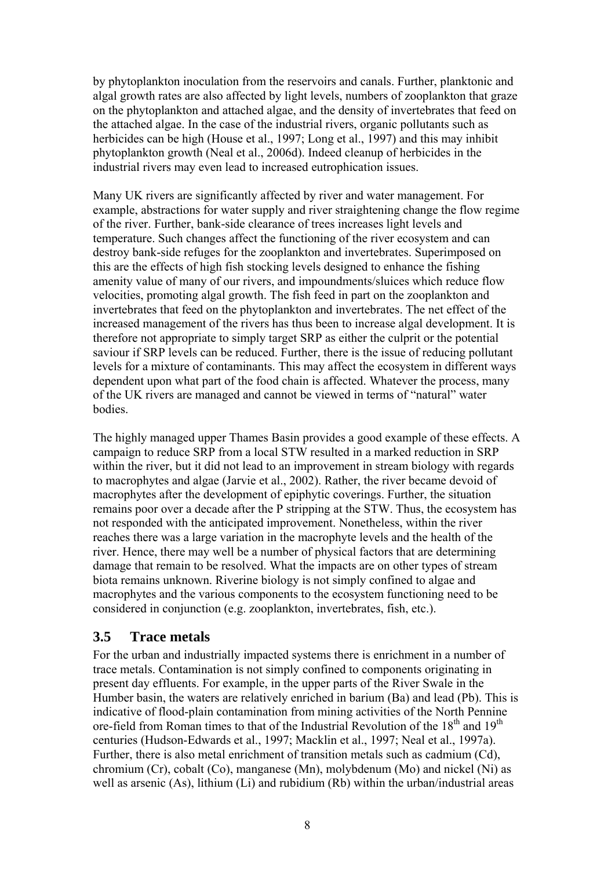by phytoplankton inoculation from the reservoirs and canals. Further, planktonic and algal growth rates are also affected by light levels, numbers of zooplankton that graze on the phytoplankton and attached algae, and the density of invertebrates that feed on the attached algae. In the case of the industrial rivers, organic pollutants such as herbicides can be high (House et al., 1997; Long et al., 1997) and this may inhibit phytoplankton growth (Neal et al., 2006d). Indeed cleanup of herbicides in the industrial rivers may even lead to increased eutrophication issues.

Many UK rivers are significantly affected by river and water management. For example, abstractions for water supply and river straightening change the flow regime of the river. Further, bank-side clearance of trees increases light levels and temperature. Such changes affect the functioning of the river ecosystem and can destroy bank-side refuges for the zooplankton and invertebrates. Superimposed on this are the effects of high fish stocking levels designed to enhance the fishing amenity value of many of our rivers, and impoundments/sluices which reduce flow velocities, promoting algal growth. The fish feed in part on the zooplankton and invertebrates that feed on the phytoplankton and invertebrates. The net effect of the increased management of the rivers has thus been to increase algal development. It is therefore not appropriate to simply target SRP as either the culprit or the potential saviour if SRP levels can be reduced. Further, there is the issue of reducing pollutant levels for a mixture of contaminants. This may affect the ecosystem in different ways dependent upon what part of the food chain is affected. Whatever the process, many of the UK rivers are managed and cannot be viewed in terms of "natural" water bodies.

The highly managed upper Thames Basin provides a good example of these effects. A campaign to reduce SRP from a local STW resulted in a marked reduction in SRP within the river, but it did not lead to an improvement in stream biology with regards to macrophytes and algae (Jarvie et al., 2002). Rather, the river became devoid of macrophytes after the development of epiphytic coverings. Further, the situation remains poor over a decade after the P stripping at the STW. Thus, the ecosystem has not responded with the anticipated improvement. Nonetheless, within the river reaches there was a large variation in the macrophyte levels and the health of the river. Hence, there may well be a number of physical factors that are determining damage that remain to be resolved. What the impacts are on other types of stream biota remains unknown. Riverine biology is not simply confined to algae and macrophytes and the various components to the ecosystem functioning need to be considered in conjunction (e.g. zooplankton, invertebrates, fish, etc.).

### **3.5 Trace metals**

For the urban and industrially impacted systems there is enrichment in a number of trace metals. Contamination is not simply confined to components originating in present day effluents. For example, in the upper parts of the River Swale in the Humber basin, the waters are relatively enriched in barium (Ba) and lead (Pb). This is indicative of flood-plain contamination from mining activities of the North Pennine ore-field from Roman times to that of the Industrial Revolution of the  $18<sup>th</sup>$  and  $19<sup>th</sup>$ centuries (Hudson-Edwards et al., 1997; Macklin et al., 1997; Neal et al., 1997a). Further, there is also metal enrichment of transition metals such as cadmium (Cd), chromium (Cr), cobalt (Co), manganese (Mn), molybdenum (Mo) and nickel (Ni) as well as arsenic (As), lithium (Li) and rubidium (Rb) within the urban/industrial areas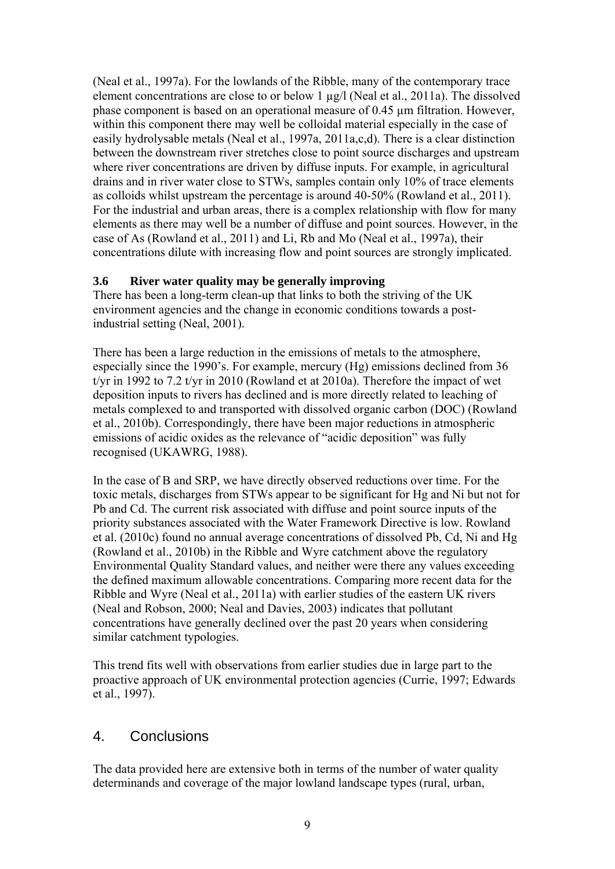(Neal et al., 1997a). For the lowlands of the Ribble, many of the contemporary trace element concentrations are close to or below 1 µg/l (Neal et al., 2011a). The dissolved phase component is based on an operational measure of 0.45 µm filtration. However, within this component there may well be colloidal material especially in the case of easily hydrolysable metals (Neal et al., 1997a, 2011a,c,d). There is a clear distinction between the downstream river stretches close to point source discharges and upstream where river concentrations are driven by diffuse inputs. For example, in agricultural drains and in river water close to STWs, samples contain only 10% of trace elements as colloids whilst upstream the percentage is around 40-50% (Rowland et al., 2011). For the industrial and urban areas, there is a complex relationship with flow for many elements as there may well be a number of diffuse and point sources. However, in the case of As (Rowland et al., 2011) and Li, Rb and Mo (Neal et al., 1997a), their concentrations dilute with increasing flow and point sources are strongly implicated.

### **3.6 River water quality may be generally improving**

There has been a long-term clean-up that links to both the striving of the UK environment agencies and the change in economic conditions towards a postindustrial setting (Neal, 2001).

There has been a large reduction in the emissions of metals to the atmosphere, especially since the 1990's. For example, mercury (Hg) emissions declined from 36 t/yr in 1992 to 7.2 t/yr in 2010 (Rowland et at 2010a). Therefore the impact of wet deposition inputs to rivers has declined and is more directly related to leaching of metals complexed to and transported with dissolved organic carbon (DOC) (Rowland et al., 2010b). Correspondingly, there have been major reductions in atmospheric emissions of acidic oxides as the relevance of "acidic deposition" was fully recognised (UKAWRG, 1988).

In the case of B and SRP, we have directly observed reductions over time. For the toxic metals, discharges from STWs appear to be significant for Hg and Ni but not for Pb and Cd. The current risk associated with diffuse and point source inputs of the priority substances associated with the Water Framework Directive is low. Rowland et al. (2010c) found no annual average concentrations of dissolved Pb, Cd, Ni and Hg (Rowland et al., 2010b) in the Ribble and Wyre catchment above the regulatory Environmental Quality Standard values, and neither were there any values exceeding the defined maximum allowable concentrations. Comparing more recent data for the Ribble and Wyre (Neal et al., 2011a) with earlier studies of the eastern UK rivers (Neal and Robson, 2000; Neal and Davies, 2003) indicates that pollutant concentrations have generally declined over the past 20 years when considering similar catchment typologies.

This trend fits well with observations from earlier studies due in large part to the proactive approach of UK environmental protection agencies (Currie, 1997; Edwards et al., 1997).

# 4. Conclusions

The data provided here are extensive both in terms of the number of water quality determinands and coverage of the major lowland landscape types (rural, urban,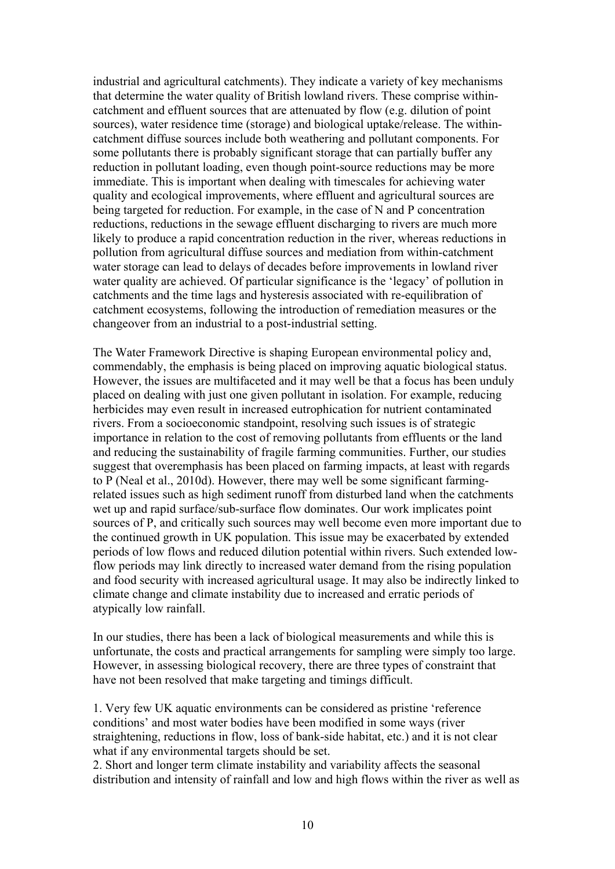industrial and agricultural catchments). They indicate a variety of key mechanisms that determine the water quality of British lowland rivers. These comprise withincatchment and effluent sources that are attenuated by flow (e.g. dilution of point sources), water residence time (storage) and biological uptake/release. The withincatchment diffuse sources include both weathering and pollutant components. For some pollutants there is probably significant storage that can partially buffer any reduction in pollutant loading, even though point-source reductions may be more immediate. This is important when dealing with timescales for achieving water quality and ecological improvements, where effluent and agricultural sources are being targeted for reduction. For example, in the case of N and P concentration reductions, reductions in the sewage effluent discharging to rivers are much more likely to produce a rapid concentration reduction in the river, whereas reductions in pollution from agricultural diffuse sources and mediation from within-catchment water storage can lead to delays of decades before improvements in lowland river water quality are achieved. Of particular significance is the 'legacy' of pollution in catchments and the time lags and hysteresis associated with re-equilibration of catchment ecosystems, following the introduction of remediation measures or the changeover from an industrial to a post-industrial setting.

The Water Framework Directive is shaping European environmental policy and, commendably, the emphasis is being placed on improving aquatic biological status. However, the issues are multifaceted and it may well be that a focus has been unduly placed on dealing with just one given pollutant in isolation. For example, reducing herbicides may even result in increased eutrophication for nutrient contaminated rivers. From a socioeconomic standpoint, resolving such issues is of strategic importance in relation to the cost of removing pollutants from effluents or the land and reducing the sustainability of fragile farming communities. Further, our studies suggest that overemphasis has been placed on farming impacts, at least with regards to P (Neal et al., 2010d). However, there may well be some significant farmingrelated issues such as high sediment runoff from disturbed land when the catchments wet up and rapid surface/sub-surface flow dominates. Our work implicates point sources of P, and critically such sources may well become even more important due to the continued growth in UK population. This issue may be exacerbated by extended periods of low flows and reduced dilution potential within rivers. Such extended lowflow periods may link directly to increased water demand from the rising population and food security with increased agricultural usage. It may also be indirectly linked to climate change and climate instability due to increased and erratic periods of atypically low rainfall.

In our studies, there has been a lack of biological measurements and while this is unfortunate, the costs and practical arrangements for sampling were simply too large. However, in assessing biological recovery, there are three types of constraint that have not been resolved that make targeting and timings difficult.

1. Very few UK aquatic environments can be considered as pristine 'reference conditions' and most water bodies have been modified in some ways (river straightening, reductions in flow, loss of bank-side habitat, etc.) and it is not clear what if any environmental targets should be set.

2. Short and longer term climate instability and variability affects the seasonal distribution and intensity of rainfall and low and high flows within the river as well as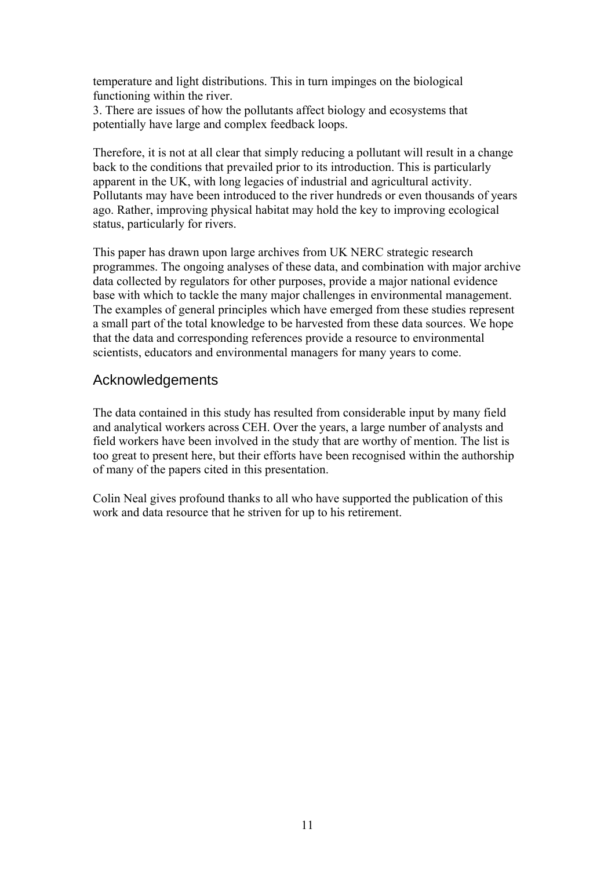temperature and light distributions. This in turn impinges on the biological functioning within the river.

3. There are issues of how the pollutants affect biology and ecosystems that potentially have large and complex feedback loops.

Therefore, it is not at all clear that simply reducing a pollutant will result in a change back to the conditions that prevailed prior to its introduction. This is particularly apparent in the UK, with long legacies of industrial and agricultural activity. Pollutants may have been introduced to the river hundreds or even thousands of years ago. Rather, improving physical habitat may hold the key to improving ecological status, particularly for rivers.

This paper has drawn upon large archives from UK NERC strategic research programmes. The ongoing analyses of these data, and combination with major archive data collected by regulators for other purposes, provide a major national evidence base with which to tackle the many major challenges in environmental management. The examples of general principles which have emerged from these studies represent a small part of the total knowledge to be harvested from these data sources. We hope that the data and corresponding references provide a resource to environmental scientists, educators and environmental managers for many years to come.

# Acknowledgements

The data contained in this study has resulted from considerable input by many field and analytical workers across CEH. Over the years, a large number of analysts and field workers have been involved in the study that are worthy of mention. The list is too great to present here, but their efforts have been recognised within the authorship of many of the papers cited in this presentation.

Colin Neal gives profound thanks to all who have supported the publication of this work and data resource that he striven for up to his retirement.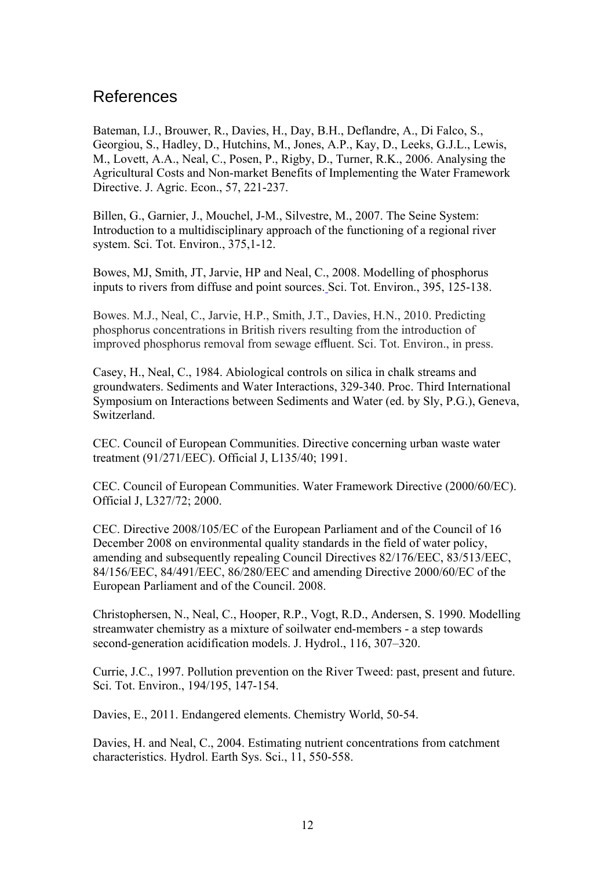# References

Bateman, I.J., Brouwer, R., Davies, H., Day, B.H., Deflandre, A., Di Falco, S., Georgiou, S., Hadley, D., Hutchins, M., Jones, A.P., Kay, D., Leeks, G.J.L., Lewis, M., Lovett, A.A., Neal, C., Posen, P., Rigby, D., Turner, R.K., 2006. Analysing the Agricultural Costs and Non-market Benefits of Implementing the Water Framework Directive. J. Agric. Econ., 57, 221-237.

Billen, G., Garnier, J., Mouchel, J-M., Silvestre, M., 2007. The Seine System: Introduction to a multidisciplinary approach of the functioning of a regional river system. Sci. Tot. Environ., 375,1-12.

Bowes, MJ, Smith, JT, Jarvie, HP and Neal, C., 2008. Modelling of phosphorus inputs to rivers from diffuse and point sources. Sci. Tot. Environ., 395, 125-138.

Bowes. M.J., Neal, C., Jarvie, H.P., Smith, J.T., Davies, H.N., 2010. Predicting phosphorus concentrations in British rivers resulting from the introduction of improved phosphorus removal from sewage effluent. Sci. Tot. Environ., in press.

Casey, H., Neal, C., 1984. Abiological controls on silica in chalk streams and groundwaters. Sediments and Water Interactions, 329-340. Proc. Third International Symposium on Interactions between Sediments and Water (ed. by Sly, P.G.), Geneva, Switzerland.

CEC. Council of European Communities. Directive concerning urban waste water treatment (91/271/EEC). Official J, L135/40; 1991.

CEC. Council of European Communities. Water Framework Directive (2000/60/EC). Official J, L327/72; 2000.

CEC. Directive 2008/105/EC of the European Parliament and of the Council of 16 December 2008 on environmental quality standards in the field of water policy, amending and subsequently repealing Council Directives 82/176/EEC, 83/513/EEC, 84/156/EEC, 84/491/EEC, 86/280/EEC and amending Directive 2000/60/EC of the European Parliament and of the Council. 2008.

Christophersen, N., Neal, C., Hooper, R.P., Vogt, R.D., Andersen, S. 1990. Modelling streamwater chemistry as a mixture of soilwater end-members - a step towards second-generation acidification models. J. Hydrol., 116, 307–320.

Currie, J.C., 1997. Pollution prevention on the River Tweed: past, present and future. Sci. Tot. Environ., 194/195, 147-154.

Davies, E., 2011. Endangered elements. Chemistry World, 50-54.

Davies, H. and Neal, C., 2004. Estimating nutrient concentrations from catchment characteristics. Hydrol. Earth Sys. Sci., 11, 550-558.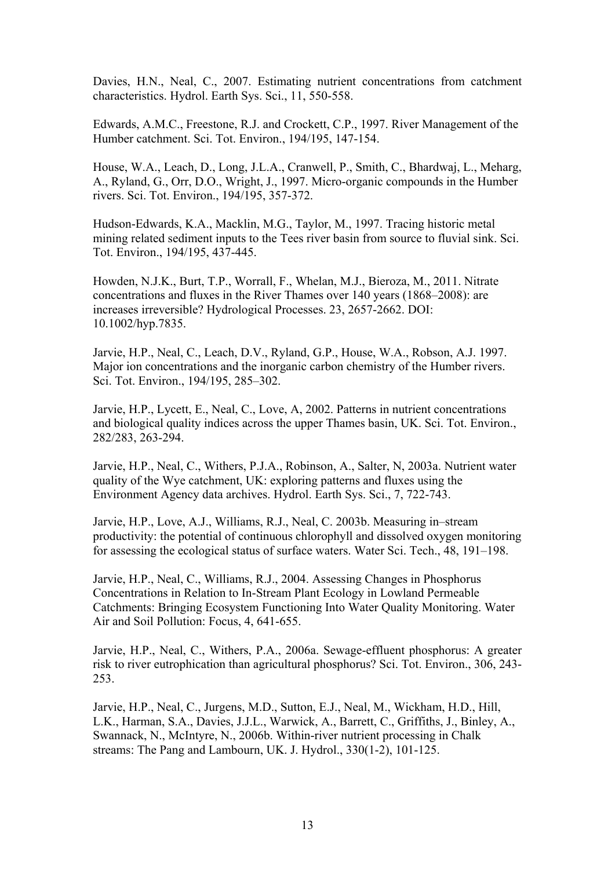Davies, H.N., Neal, C., 2007. Estimating nutrient concentrations from catchment characteristics. Hydrol. Earth Sys. Sci., 11, 550-558.

Edwards, A.M.C., Freestone, R.J. and Crockett, C.P., 1997. River Management of the Humber catchment. Sci. Tot. Environ., 194/195, 147-154.

House, W.A., Leach, D., Long, J.L.A., Cranwell, P., Smith, C., Bhardwaj, L., Meharg, A., Ryland, G., Orr, D.O., Wright, J., 1997. Micro-organic compounds in the Humber rivers. Sci. Tot. Environ., 194/195, 357-372.

Hudson-Edwards, K.A., Macklin, M.G., Taylor, M., 1997. Tracing historic metal mining related sediment inputs to the Tees river basin from source to fluvial sink. Sci. Tot. Environ., 194/195, 437-445.

Howden, N.J.K., Burt, T.P., Worrall, F., Whelan, M.J., Bieroza, M., 2011. Nitrate concentrations and fluxes in the River Thames over 140 years (1868–2008): are increases irreversible? Hydrological Processes. 23, 2657-2662. DOI: 10.1002/hyp.7835.

Jarvie, H.P., Neal, C., Leach, D.V., Ryland, G.P., House, W.A., Robson, A.J. 1997. Major ion concentrations and the inorganic carbon chemistry of the Humber rivers. Sci. Tot. Environ., 194/195, 285–302.

Jarvie, H.P., Lycett, E., Neal, C., Love, A, 2002. Patterns in nutrient concentrations and biological quality indices across the upper Thames basin, UK. Sci. Tot. Environ., 282/283, 263-294.

Jarvie, H.P., Neal, C., Withers, P.J.A., Robinson, A., Salter, N, 2003a. Nutrient water quality of the Wye catchment, UK: exploring patterns and fluxes using the Environment Agency data archives. Hydrol. Earth Sys. Sci., 7, 722-743.

Jarvie, H.P., Love, A.J., Williams, R.J., Neal, C. 2003b. Measuring in–stream productivity: the potential of continuous chlorophyll and dissolved oxygen monitoring for assessing the ecological status of surface waters. Water Sci. Tech., 48, 191–198.

Jarvie, H.P., Neal, C., Williams, R.J., 2004. Assessing Changes in Phosphorus Concentrations in Relation to In-Stream Plant Ecology in Lowland Permeable Catchments: Bringing Ecosystem Functioning Into Water Quality Monitoring. Water Air and Soil Pollution: Focus, 4, 641-655.

Jarvie, H.P., Neal, C., Withers, P.A., 2006a. Sewage-effluent phosphorus: A greater risk to river eutrophication than agricultural phosphorus? Sci. Tot. Environ., 306, 243- 253.

Jarvie, H.P., Neal, C., Jurgens, M.D., Sutton, E.J., Neal, M., Wickham, H.D., Hill, L.K., Harman, S.A., Davies, J.J.L., Warwick, A., Barrett, C., Griffiths, J., Binley, A., Swannack, N., McIntyre, N., 2006b. Within-river nutrient processing in Chalk streams: The Pang and Lambourn, UK. J. Hydrol., 330(1-2), 101-125.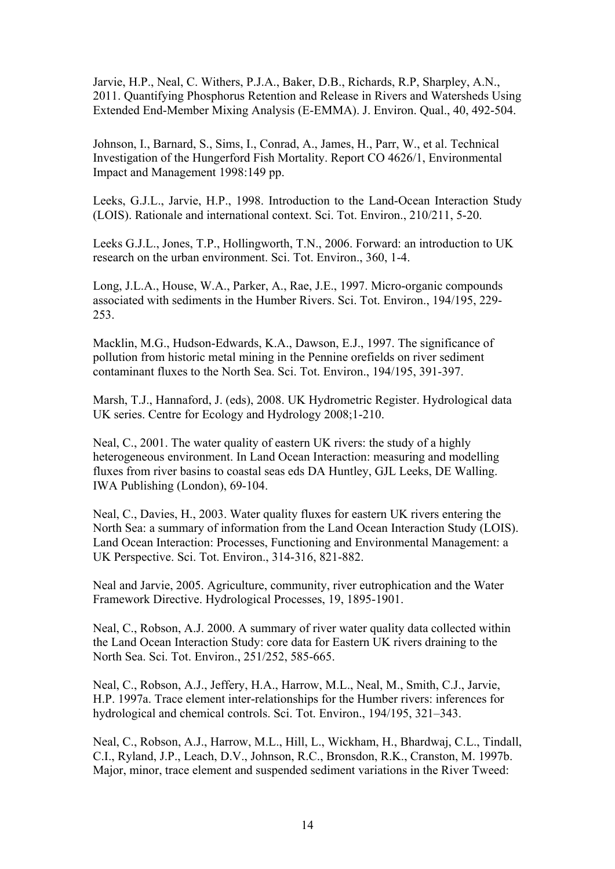Jarvie, H.P., Neal, C. Withers, P.J.A., Baker, D.B., Richards, R.P, Sharpley, A.N., 2011. Quantifying Phosphorus Retention and Release in Rivers and Watersheds Using Extended End-Member Mixing Analysis (E-EMMA). J. Environ. Qual., 40, 492-504.

Johnson, I., Barnard, S., Sims, I., Conrad, A., James, H., Parr, W., et al. Technical Investigation of the Hungerford Fish Mortality. Report CO 4626/1, Environmental Impact and Management 1998:149 pp.

Leeks, G.J.L., Jarvie, H.P., 1998. Introduction to the Land-Ocean Interaction Study (LOIS). Rationale and international context. Sci. Tot. Environ., 210/211, 5-20.

Leeks G.J.L., Jones, T.P., Hollingworth, T.N., 2006. Forward: an introduction to UK research on the urban environment. Sci. Tot. Environ., 360, 1-4.

Long, J.L.A., House, W.A., Parker, A., Rae, J.E., 1997. Micro-organic compounds associated with sediments in the Humber Rivers. Sci. Tot. Environ., 194/195, 229- 253.

Macklin, M.G., Hudson-Edwards, K.A., Dawson, E.J., 1997. The significance of pollution from historic metal mining in the Pennine orefields on river sediment contaminant fluxes to the North Sea. Sci. Tot. Environ., 194/195, 391-397.

Marsh, T.J., Hannaford, J. (eds), 2008. UK Hydrometric Register. Hydrological data UK series. Centre for Ecology and Hydrology 2008;1-210.

Neal, C., 2001. The water quality of eastern UK rivers: the study of a highly heterogeneous environment. In Land Ocean Interaction: measuring and modelling fluxes from river basins to coastal seas eds DA Huntley, GJL Leeks, DE Walling. IWA Publishing (London), 69-104.

Neal, C., Davies, H., 2003. Water quality fluxes for eastern UK rivers entering the North Sea: a summary of information from the Land Ocean Interaction Study (LOIS). Land Ocean Interaction: Processes, Functioning and Environmental Management: a UK Perspective. Sci. Tot. Environ., 314-316, 821-882.

Neal and Jarvie, 2005. Agriculture, community, river eutrophication and the Water Framework Directive. Hydrological Processes, 19, 1895-1901.

Neal, C., Robson, A.J. 2000. A summary of river water quality data collected within the Land Ocean Interaction Study: core data for Eastern UK rivers draining to the North Sea. Sci. Tot. Environ., 251/252, 585-665.

Neal, C., Robson, A.J., Jeffery, H.A., Harrow, M.L., Neal, M., Smith, C.J., Jarvie, H.P. 1997a. Trace element inter-relationships for the Humber rivers: inferences for hydrological and chemical controls. Sci. Tot. Environ., 194/195, 321–343.

Neal, C., Robson, A.J., Harrow, M.L., Hill, L., Wickham, H., Bhardwaj, C.L., Tindall, C.I., Ryland, J.P., Leach, D.V., Johnson, R.C., Bronsdon, R.K., Cranston, M. 1997b. Major, minor, trace element and suspended sediment variations in the River Tweed: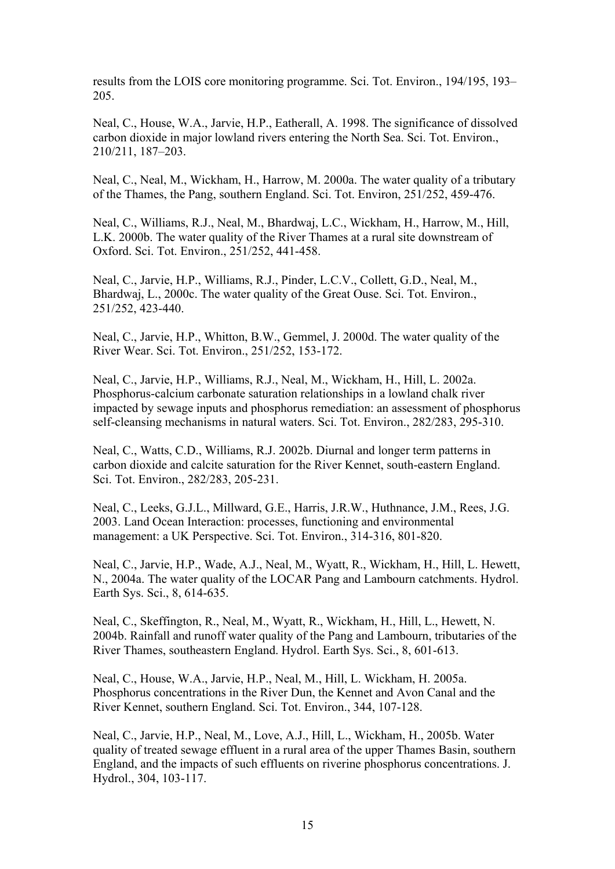results from the LOIS core monitoring programme. Sci. Tot. Environ., 194/195, 193– 205.

Neal, C., House, W.A., Jarvie, H.P., Eatherall, A. 1998. The significance of dissolved carbon dioxide in major lowland rivers entering the North Sea. Sci. Tot. Environ., 210/211, 187–203.

Neal, C., Neal, M., Wickham, H., Harrow, M. 2000a. The water quality of a tributary of the Thames, the Pang, southern England. Sci. Tot. Environ, 251/252, 459-476.

Neal, C., Williams, R.J., Neal, M., Bhardwaj, L.C., Wickham, H., Harrow, M., Hill, L.K. 2000b. The water quality of the River Thames at a rural site downstream of Oxford. Sci. Tot. Environ., 251/252, 441-458.

Neal, C., Jarvie, H.P., Williams, R.J., Pinder, L.C.V., Collett, G.D., Neal, M., Bhardwaj, L., 2000c. The water quality of the Great Ouse. Sci. Tot. Environ., 251/252, 423-440.

Neal, C., Jarvie, H.P., Whitton, B.W., Gemmel, J. 2000d. The water quality of the River Wear. Sci. Tot. Environ., 251/252, 153-172.

Neal, C., Jarvie, H.P., Williams, R.J., Neal, M., Wickham, H., Hill, L. 2002a. Phosphorus-calcium carbonate saturation relationships in a lowland chalk river impacted by sewage inputs and phosphorus remediation: an assessment of phosphorus self-cleansing mechanisms in natural waters. Sci. Tot. Environ., 282/283, 295-310.

Neal, C., Watts, C.D., Williams, R.J. 2002b. Diurnal and longer term patterns in carbon dioxide and calcite saturation for the River Kennet, south-eastern England. Sci. Tot. Environ., 282/283, 205-231.

Neal, C., Leeks, G.J.L., Millward, G.E., Harris, J.R.W., Huthnance, J.M., Rees, J.G. 2003. Land Ocean Interaction: processes, functioning and environmental management: a UK Perspective. Sci. Tot. Environ., 314-316, 801-820.

Neal, C., Jarvie, H.P., Wade, A.J., Neal, M., Wyatt, R., Wickham, H., Hill, L. Hewett, N., 2004a. The water quality of the LOCAR Pang and Lambourn catchments. Hydrol. Earth Sys. Sci., 8, 614-635.

Neal, C., Skeffington, R., Neal, M., Wyatt, R., Wickham, H., Hill, L., Hewett, N. 2004b. Rainfall and runoff water quality of the Pang and Lambourn, tributaries of the River Thames, southeastern England. Hydrol. Earth Sys. Sci., 8, 601-613.

Neal, C., House, W.A., Jarvie, H.P., Neal, M., Hill, L. Wickham, H. 2005a. Phosphorus concentrations in the River Dun, the Kennet and Avon Canal and the River Kennet, southern England. Sci. Tot. Environ., 344, 107-128.

Neal, C., Jarvie, H.P., Neal, M., Love, A.J., Hill, L., Wickham, H., 2005b. Water quality of treated sewage effluent in a rural area of the upper Thames Basin, southern England, and the impacts of such effluents on riverine phosphorus concentrations. J. Hydrol., 304, 103-117.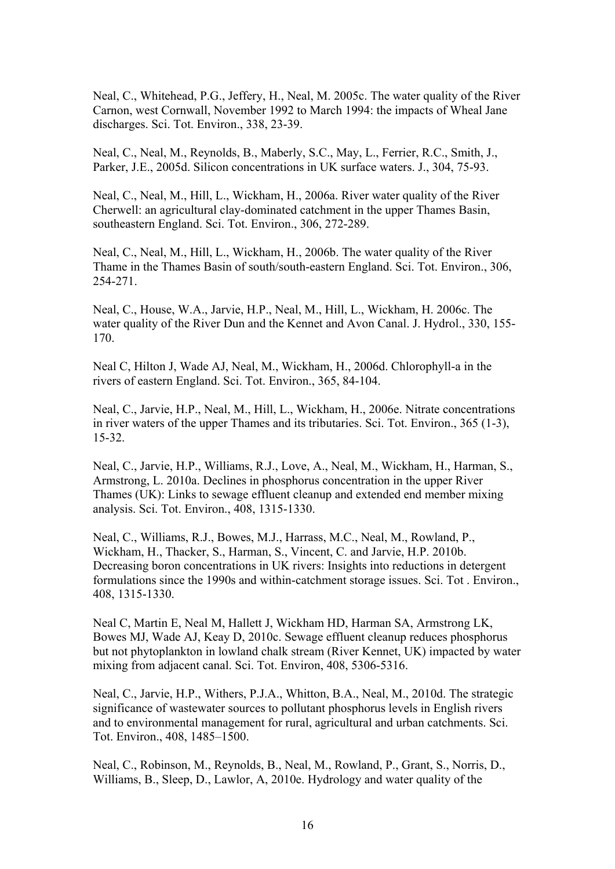Neal, C., Whitehead, P.G., Jeffery, H., Neal, M. 2005c. The water quality of the River Carnon, west Cornwall, November 1992 to March 1994: the impacts of Wheal Jane discharges. Sci. Tot. Environ., 338, 23-39.

Neal, C., Neal, M., Reynolds, B., Maberly, S.C., May, L., Ferrier, R.C., Smith, J., Parker, J.E., 2005d. Silicon concentrations in UK surface waters. J., 304, 75-93.

Neal, C., Neal, M., Hill, L., Wickham, H., 2006a. River water quality of the River Cherwell: an agricultural clay-dominated catchment in the upper Thames Basin, southeastern England. Sci. Tot. Environ., 306, 272-289.

Neal, C., Neal, M., Hill, L., Wickham, H., 2006b. The water quality of the River Thame in the Thames Basin of south/south-eastern England. Sci. Tot. Environ., 306, 254-271.

Neal, C., House, W.A., Jarvie, H.P., Neal, M., Hill, L., Wickham, H. 2006c. The water quality of the River Dun and the Kennet and Avon Canal. J. Hydrol., 330, 155-170.

Neal C, Hilton J, Wade AJ, Neal, M., Wickham, H., 2006d. Chlorophyll-a in the rivers of eastern England. Sci. Tot. Environ., 365, 84-104.

Neal, C., Jarvie, H.P., Neal, M., Hill, L., Wickham, H., 2006e. Nitrate concentrations in river waters of the upper Thames and its tributaries. Sci. Tot. Environ., 365 (1-3), 15-32.

Neal, C., Jarvie, H.P., Williams, R.J., Love, A., Neal, M., Wickham, H., Harman, S., Armstrong, L. 2010a. Declines in phosphorus concentration in the upper River Thames (UK): Links to sewage effluent cleanup and extended end member mixing analysis. Sci. Tot. Environ., 408, 1315-1330.

Neal, C., Williams, R.J., Bowes, M.J., Harrass, M.C., Neal, M., Rowland, P., Wickham, H., Thacker, S., Harman, S., Vincent, C. and Jarvie, H.P. 2010b. Decreasing boron concentrations in UK rivers: Insights into reductions in detergent formulations since the 1990s and within-catchment storage issues. Sci. Tot . Environ., 408, 1315-1330.

Neal C, Martin E, Neal M, Hallett J, Wickham HD, Harman SA, Armstrong LK, Bowes MJ, Wade AJ, Keay D, 2010c. Sewage effluent cleanup reduces phosphorus but not phytoplankton in lowland chalk stream (River Kennet, UK) impacted by water mixing from adjacent canal. Sci. Tot. Environ, 408, 5306-5316.

Neal, C., Jarvie, H.P., Withers, P.J.A., Whitton, B.A., Neal, M., 2010d. The strategic significance of wastewater sources to pollutant phosphorus levels in English rivers and to environmental management for rural, agricultural and urban catchments. Sci. Tot. Environ., 408, 1485–1500.

Neal, C., Robinson, M., Reynolds, B., Neal, M., Rowland, P., Grant, S., Norris, D., Williams, B., Sleep, D., Lawlor, A, 2010e. Hydrology and water quality of the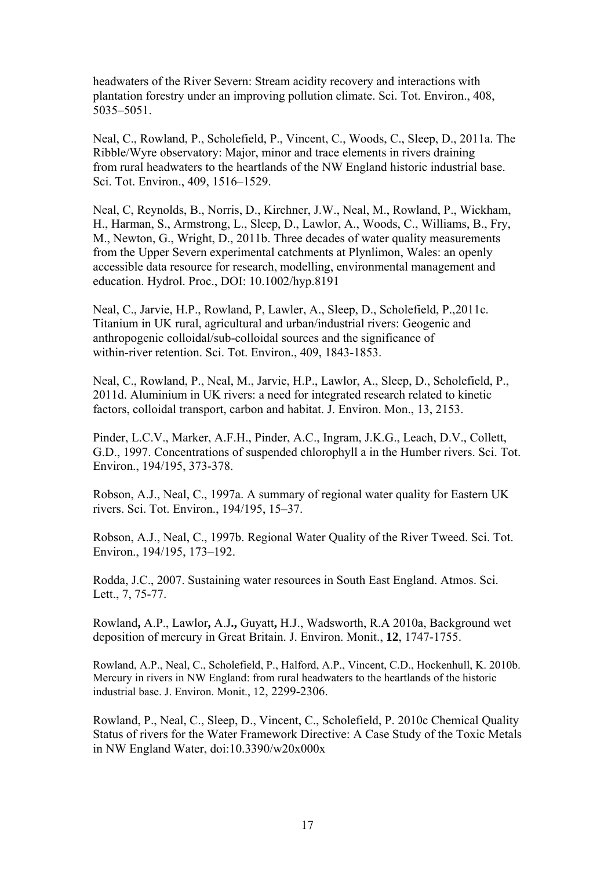headwaters of the River Severn: Stream acidity recovery and interactions with plantation forestry under an improving pollution climate. Sci. Tot. Environ., 408, 5035–5051.

Neal, C., Rowland, P., Scholefield, P., Vincent, C., Woods, C., Sleep, D., 2011a. The Ribble/Wyre observatory: Major, minor and trace elements in rivers draining from rural headwaters to the heartlands of the NW England historic industrial base. Sci. Tot. Environ., 409, 1516–1529.

Neal, C, Reynolds, B., Norris, D., Kirchner, J.W., Neal, M., Rowland, P., Wickham, H., Harman, S., Armstrong, L., Sleep, D., Lawlor, A., Woods, C., Williams, B., Fry, M., Newton, G., Wright, D., 2011b. Three decades of water quality measurements from the Upper Severn experimental catchments at Plynlimon, Wales: an openly accessible data resource for research, modelling, environmental management and education. Hydrol. Proc., DOI: 10.1002/hyp.8191

Neal, C., Jarvie, H.P., Rowland, P, Lawler, A., Sleep, D., Scholefield, P.,2011c. Titanium in UK rural, agricultural and urban/industrial rivers: Geogenic and anthropogenic colloidal/sub-colloidal sources and the significance of within-river retention. Sci. Tot. Environ., 409, 1843-1853.

Neal, C., Rowland, P., Neal, M., Jarvie, H.P., Lawlor, A., Sleep, D., Scholefield, P., 2011d. Aluminium in UK rivers: a need for integrated research related to kinetic factors, colloidal transport, carbon and habitat. J. Environ. Mon., 13, 2153.

Pinder, L.C.V., Marker, A.F.H., Pinder, A.C., Ingram, J.K.G., Leach, D.V., Collett, G.D., 1997. Concentrations of suspended chlorophyll a in the Humber rivers. Sci. Tot. Environ., 194/195, 373-378.

Robson, A.J., Neal, C., 1997a. A summary of regional water quality for Eastern UK rivers. Sci. Tot. Environ., 194/195, 15–37.

Robson, A.J., Neal, C., 1997b. Regional Water Quality of the River Tweed. Sci. Tot. Environ., 194/195, 173–192.

Rodda, J.C., 2007. Sustaining water resources in South East England. Atmos. Sci. Lett., 7, 75-77.

Rowland**,** A.P., Lawlor**,** A.J**.,** Guyatt**,** H.J., Wadsworth, R.A 2010a, Background wet deposition of mercury in Great Britain. J. Environ. Monit., **12**, 1747-1755.

Rowland, A.P., Neal, C., Scholefield, P., Halford, A.P., Vincent, C.D., Hockenhull, K. 2010b. Mercury in rivers in NW England: from rural headwaters to the heartlands of the historic industrial base. J. Environ. Monit., 12, 2299-2306.

Rowland, P., Neal, C., Sleep, D., Vincent, C., Scholefield, P. 2010c Chemical Quality Status of rivers for the Water Framework Directive: A Case Study of the Toxic Metals in NW England Water, doi:10.3390/w20x000x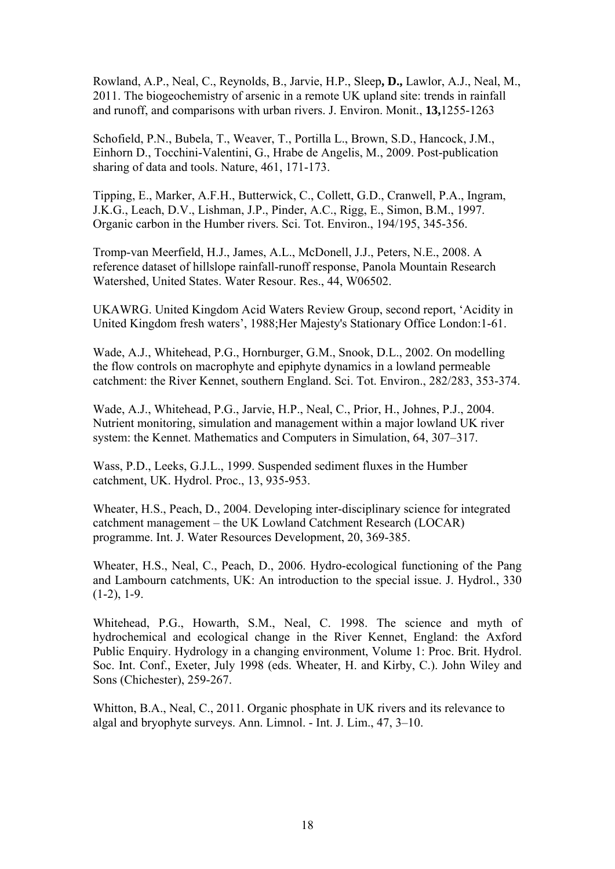Rowland, A.P., Neal, C., Reynolds, B., Jarvie, H.P., Sleep**, D.,** Lawlor, A.J., Neal, M., 2011. The biogeochemistry of arsenic in a remote UK upland site: trends in rainfall and runoff, and comparisons with urban rivers. J. Environ. Monit., **13,**1255-1263

Schofield, P.N., Bubela, T., Weaver, T., Portilla L., Brown, S.D., Hancock, J.M., Einhorn D., Tocchini-Valentini, G., Hrabe de Angelis, M., 2009. Post-publication sharing of data and tools. Nature, 461, 171-173.

Tipping, E., Marker, A.F.H., Butterwick, C., Collett, G.D., Cranwell, P.A., Ingram, J.K.G., Leach, D.V., Lishman, J.P., Pinder, A.C., Rigg, E., Simon, B.M., 1997. Organic carbon in the Humber rivers. Sci. Tot. Environ., 194/195, 345-356.

Tromp-van Meerfield, H.J., James, A.L., McDonell, J.J., Peters, N.E., 2008. A reference dataset of hillslope rainfall-runoff response, Panola Mountain Research Watershed, United States. Water Resour. Res., 44, W06502.

UKAWRG. United Kingdom Acid Waters Review Group, second report, 'Acidity in United Kingdom fresh waters', 1988;Her Majesty's Stationary Office London:1-61.

Wade, A.J., Whitehead, P.G., Hornburger, G.M., Snook, D.L., 2002. On modelling the flow controls on macrophyte and epiphyte dynamics in a lowland permeable catchment: the River Kennet, southern England. Sci. Tot. Environ., 282/283, 353-374.

Wade, A.J., Whitehead, P.G., Jarvie, H.P., Neal, C., Prior, H., Johnes, P.J., 2004. Nutrient monitoring, simulation and management within a major lowland UK river system: the Kennet. Mathematics and Computers in Simulation, 64, 307–317.

Wass, P.D., Leeks, G.J.L., 1999. Suspended sediment fluxes in the Humber catchment, UK. Hydrol. Proc., 13, 935-953.

Wheater, H.S., Peach, D., 2004. Developing inter-disciplinary science for integrated catchment management – the UK Lowland Catchment Research (LOCAR) programme. Int. J. Water Resources Development, 20, 369-385.

Wheater, H.S., Neal, C., Peach, D., 2006. Hydro-ecological functioning of the Pang and Lambourn catchments, UK: An introduction to the special issue. J. Hydrol., 330  $(1-2)$ ,  $1-9$ .

Whitehead, P.G., Howarth, S.M., Neal, C. 1998. The science and myth of hydrochemical and ecological change in the River Kennet, England: the Axford Public Enquiry. Hydrology in a changing environment, Volume 1: Proc. Brit. Hydrol. Soc. Int. Conf., Exeter, July 1998 (eds. Wheater, H. and Kirby, C.). John Wiley and Sons (Chichester), 259-267.

Whitton, B.A., Neal, C., 2011. Organic phosphate in UK rivers and its relevance to algal and bryophyte surveys. Ann. Limnol. - Int. J. Lim., 47, 3–10.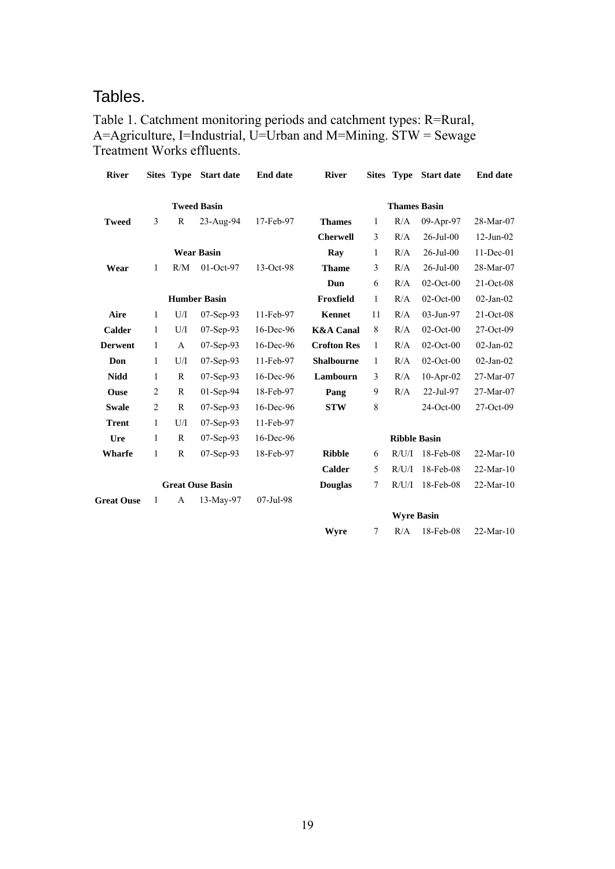# Tables.

Table 1. Catchment monitoring periods and catchment types: R=Rural, A=Agriculture, I=Industrial, U=Urban and M=Mining. STW = Sewage Treatment Works effluents.

| <b>River</b>      | Sites Type        |              | <b>End date</b><br><b>Start date</b> |           | <b>River</b>         |                     | Sites Type | <b>Start date</b> | <b>End date</b> |  |  |  |
|-------------------|-------------------|--------------|--------------------------------------|-----------|----------------------|---------------------|------------|-------------------|-----------------|--|--|--|
|                   |                   |              | <b>Tweed Basin</b>                   |           | <b>Thames Basin</b>  |                     |            |                   |                 |  |  |  |
| <b>Tweed</b>      | 3<br>$\mathbb{R}$ |              | 23-Aug-94                            | 17-Feb-97 | <b>Thames</b>        | 1                   | R/A        | 09-Apr-97         | 28-Mar-07       |  |  |  |
|                   |                   |              |                                      |           | <b>Cherwell</b>      | 3                   | R/A        | $26$ -Jul- $00$   | $12-Jun-02$     |  |  |  |
|                   |                   |              | <b>Wear Basin</b>                    |           | Ray                  | 1                   | R/A        | $26$ -Jul-00      | 11-Dec-01       |  |  |  |
| Wear              | R/M<br>1          |              | 01-Oct-97                            | 13-Oct-98 | <b>Thame</b>         | 3                   | R/A        | $26$ -Jul- $00$   | 28-Mar-07       |  |  |  |
|                   |                   |              |                                      |           | Dun                  | 6                   | R/A        | 02-Oct-00         | $21-Oct-08$     |  |  |  |
|                   |                   |              | <b>Humber Basin</b>                  |           | Froxfield            | $\mathbf{1}$        | R/A        | $02-Oct-00$       | $02$ -Jan- $02$ |  |  |  |
| Aire              | $\mathbf{1}$      | U/I          | 07-Sep-93                            | 11-Feb-97 | <b>Kennet</b>        | 11                  | R/A        | 03-Jun-97         | $21-Oct-08$     |  |  |  |
| <b>Calder</b>     | 1                 | U/I          | $07-Sep-93$                          | 16-Dec-96 | <b>K&amp;A Canal</b> | 8                   | R/A        | $02-Oct-00$       | 27-Oct-09       |  |  |  |
| <b>Derwent</b>    | $\mathbf{1}$      | $\mathbf{A}$ | $07-Sep-93$                          | 16-Dec-96 | <b>Crofton Res</b>   | $\mathbf{1}$        | R/A        | $02-Oct-00$       | $02$ -Jan- $02$ |  |  |  |
| Don               | 1                 | U/I          | 07-Sep-93                            | 11-Feb-97 | <b>Shalbourne</b>    | 1                   | R/A        | 02-Oct-00         | $02$ -Jan- $02$ |  |  |  |
| <b>Nidd</b>       | 1                 | $\mathbb{R}$ | $07-Sep-93$                          | 16-Dec-96 | Lambourn             | 3                   | R/A        | $10-Apr-02$       | 27-Mar-07       |  |  |  |
| Ouse              | 2                 | R            | 01-Sep-94                            | 18-Feb-97 | Pang                 | 9                   | R/A        | 22-Jul-97         | 27-Mar-07       |  |  |  |
| <b>Swale</b>      | $\overline{2}$    | $\mathbb{R}$ | $07-Sep-93$                          | 16-Dec-96 | <b>STW</b>           | 8                   |            | 24-Oct-00         | 27-Oct-09       |  |  |  |
| <b>Trent</b>      | $\mathbf{1}$      | U/I          | $07-Sep-93$                          | 11-Feb-97 |                      |                     |            |                   |                 |  |  |  |
| Ure               | $\mathbf{1}$      | $\mathbb{R}$ | $07-Sep-93$                          | 16-Dec-96 |                      | <b>Ribble Basin</b> |            |                   |                 |  |  |  |
| Wharfe            | $\mathbf{1}$      | R            | 07-Sep-93                            | 18-Feb-97 | <b>Ribble</b>        | 6                   | R/U/I      | 18-Feb-08         | $22-Mar-10$     |  |  |  |
|                   |                   |              |                                      |           | Calder               | 5                   | R/U/I      | 18-Feb-08         | $22-Mar-10$     |  |  |  |
|                   |                   |              | <b>Great Ouse Basin</b>              |           | <b>Douglas</b>       | 7                   | R/U/I      | 18-Feb-08         | $22-Mar-10$     |  |  |  |
| <b>Great Ouse</b> | $\mathbf{1}$      | A            | 13-May-97                            | 07-Jul-98 |                      |                     |            |                   |                 |  |  |  |
|                   |                   |              |                                      |           | <b>Wyre Basin</b>    |                     |            |                   |                 |  |  |  |
|                   |                   |              |                                      |           | Wyre                 | 7                   | R/A        | $18$ -Feb-08      | $22-Mar-10$     |  |  |  |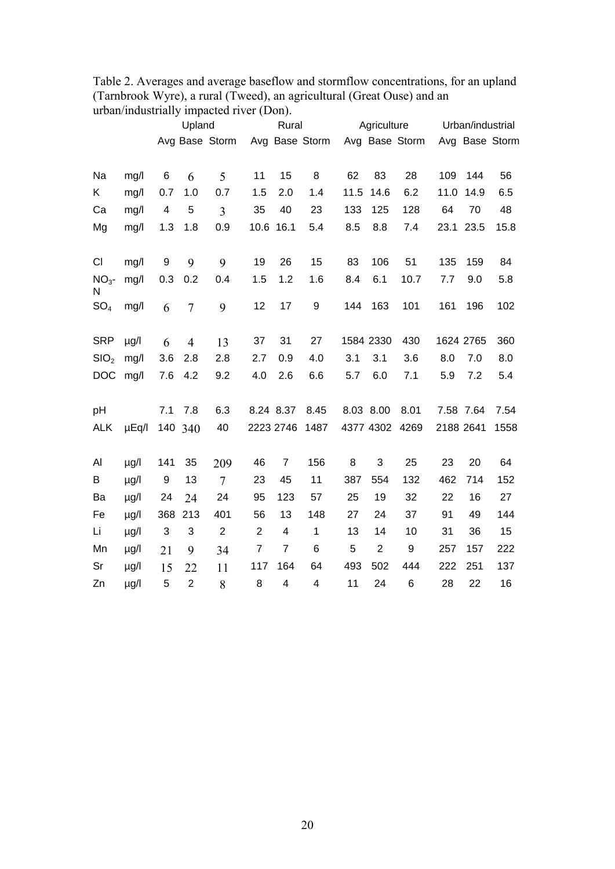| Table 2. Averages and average baseflow and stormflow concentrations, for an upland |
|------------------------------------------------------------------------------------|
| (Tarnbrook Wyre), a rural (Tweed), an agricultural (Great Ouse) and an             |
| urban/industrially impacted river (Don).                                           |

|                  |           |                          | Upland         |                | Rural          |                |                | Agriculture |                |                | Urban/industrial |           |                |
|------------------|-----------|--------------------------|----------------|----------------|----------------|----------------|----------------|-------------|----------------|----------------|------------------|-----------|----------------|
|                  |           |                          |                | Avg Base Storm |                |                | Avg Base Storm |             |                | Avg Base Storm |                  |           | Avg Base Storm |
| Na               | mg/l      | 6                        | 6              | 5              | 11             | 15             | 8              | 62          | 83             | 28             | 109              | 144       | 56             |
| K                | mg/l      | 0.7                      | 1.0            | 0.7            | 1.5            | 2.0            | 1.4            | 11.5        | 14.6           | 6.2            | 11.0             | 14.9      | 6.5            |
| Ca               | mg/l      | $\overline{\mathcal{A}}$ | 5              | $\overline{3}$ | 35             | 40             | 23             | 133         | 125            | 128            | 64               | 70        | 48             |
| Mg               | mg/l      | 1.3                      | 1.8            | 0.9            |                | 10.6 16.1      | 5.4            | 8.5         | 8.8            | 7.4            |                  | 23.1 23.5 | 15.8           |
| CI               | mg/l      | 9                        | 9              | 9              | 19             | 26             | 15             | 83          | 106            | 51             | 135              | 159       | 84             |
| $NO3$ -<br>N     | mg/l      | 0.3                      | 0.2            | 0.4            | 1.5            | 1.2            | 1.6            | 8.4         | 6.1            | 10.7           | 7.7              | 9.0       | 5.8            |
| SO <sub>4</sub>  | mg/l      | 6                        | 7              | 9              | 12             | 17             | 9              | 144         | 163            | 101            | 161              | 196       | 102            |
| <b>SRP</b>       | $\mu$ g/l | 6                        | $\overline{4}$ | 13             | 37             | 31             | 27             |             | 1584 2330      | 430            |                  | 1624 2765 | 360            |
| SIO <sub>2</sub> | mg/l      | 3.6                      | 2.8            | 2.8            | 2.7            | 0.9            | 4.0            | 3.1         | 3.1            | 3.6            | 8.0              | 7.0       | 8.0            |
| <b>DOC</b>       | mg/l      | 7.6                      | 4.2            | 9.2            | 4.0            | 2.6            | 6.6            | 5.7         | 6.0            | 7.1            | 5.9              | 7.2       | 5.4            |
| pH               |           | 7.1                      | 7.8            | 6.3            |                | 8.24 8.37      | 8.45           |             | 8.03 8.00      | 8.01           |                  | 7.58 7.64 | 7.54           |
| <b>ALK</b>       | µEq/l     |                          | 140 340        | 40             |                | 2223 2746      | 1487           |             |                | 4377 4302 4269 |                  | 2188 2641 | 1558           |
| Al               | $\mu$ g/l | 141                      | 35             | 209            | 46             | 7              | 156            | 8           | 3              | 25             | 23               | 20        | 64             |
| B                | $\mu$ g/l | 9                        | 13             | $\overline{7}$ | 23             | 45             | 11             | 387         | 554            | 132            | 462              | 714       | 152            |
| Ba               | $\mu$ g/l | 24                       | 24             | 24             | 95             | 123            | 57             | 25          | 19             | 32             | 22               | 16        | 27             |
| Fe               | $\mu$ g/l | 368                      | 213            | 401            | 56             | 13             | 148            | 27          | 24             | 37             | 91               | 49        | 144            |
| Li               | $\mu$ g/l | 3                        | 3              | $\overline{c}$ | $\overline{2}$ | 4              | 1              | 13          | 14             | 10             | 31               | 36        | 15             |
| Mn               | $\mu$ g/l | 21                       | 9              | 34             | $\overline{7}$ | $\overline{7}$ | 6              | 5           | $\overline{2}$ | 9              | 257              | 157       | 222            |
| Sr               | $\mu$ g/l | 15                       | 22             | 11             | 117            | 164            | 64             | 493         | 502            | 444            | 222              | 251       | 137            |
| Zn               | $\mu$ g/l | 5                        | $\overline{2}$ | 8              | 8              | 4              | 4              | 11          | 24             | 6              | 28               | 22        | 16             |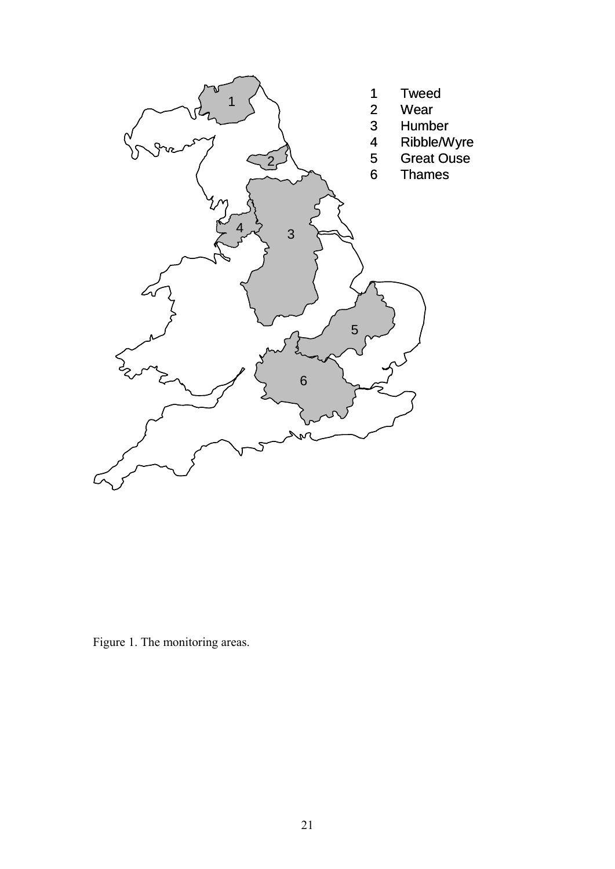

Figure 1. The monitoring areas.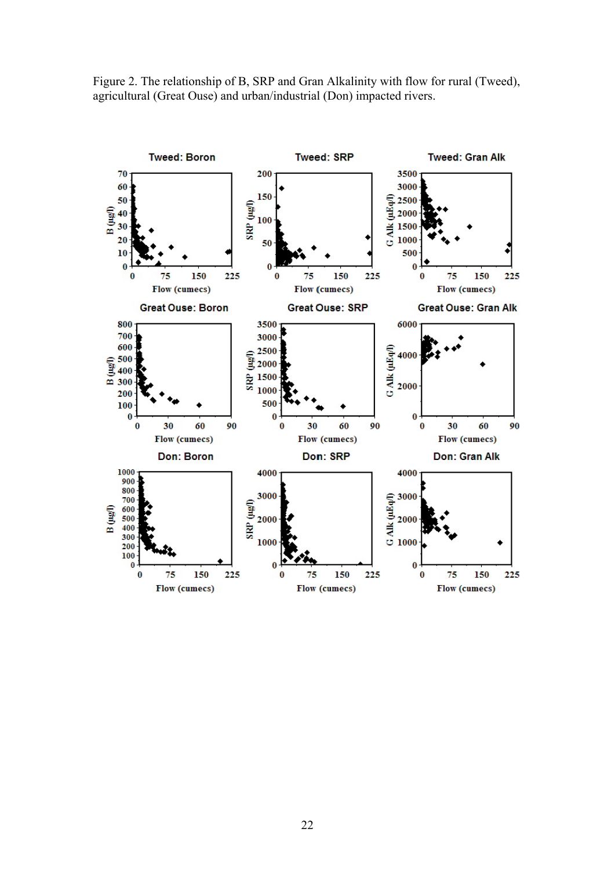

Figure 2. The relationship of B, SRP and Gran Alkalinity with flow for rural (Tweed), agricultural (Great Ouse) and urban/industrial (Don) impacted rivers.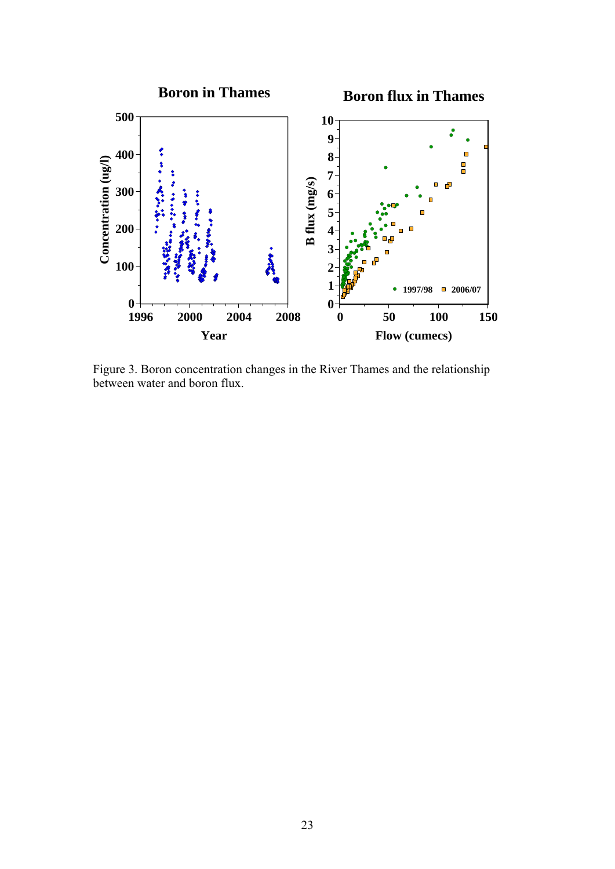

Figure 3. Boron concentration changes in the River Thames and the relationship between water and boron flux.